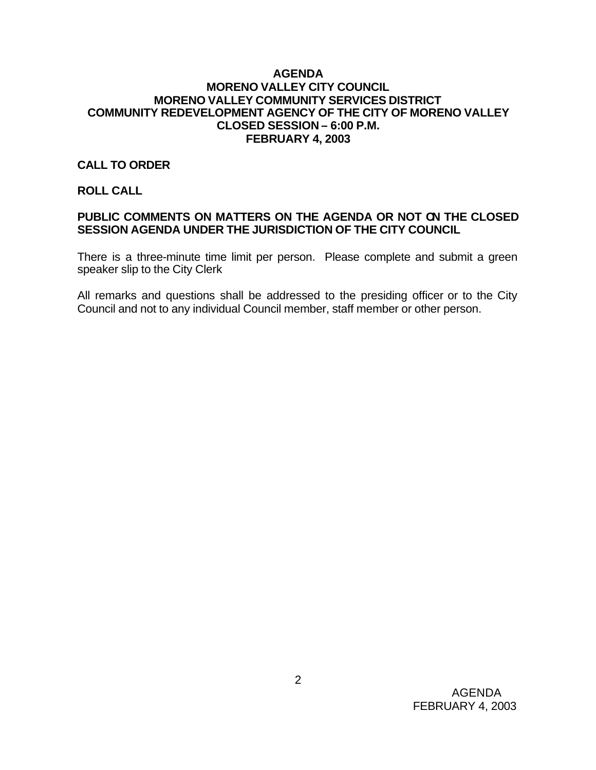#### **AGENDA MORENO VALLEY CITY COUNCIL MORENO VALLEY COMMUNITY SERVICES DISTRICT COMMUNITY REDEVELOPMENT AGENCY OF THE CITY OF MORENO VALLEY CLOSED SESSION – 6:00 P.M. FEBRUARY 4, 2003**

## **CALL TO ORDER**

**ROLL CALL**

## **PUBLIC COMMENTS ON MATTERS ON THE AGENDA OR NOT ON THE CLOSED SESSION AGENDA UNDER THE JURISDICTION OF THE CITY COUNCIL**

There is a three-minute time limit per person. Please complete and submit a green speaker slip to the City Clerk

All remarks and questions shall be addressed to the presiding officer or to the City Council and not to any individual Council member, staff member or other person.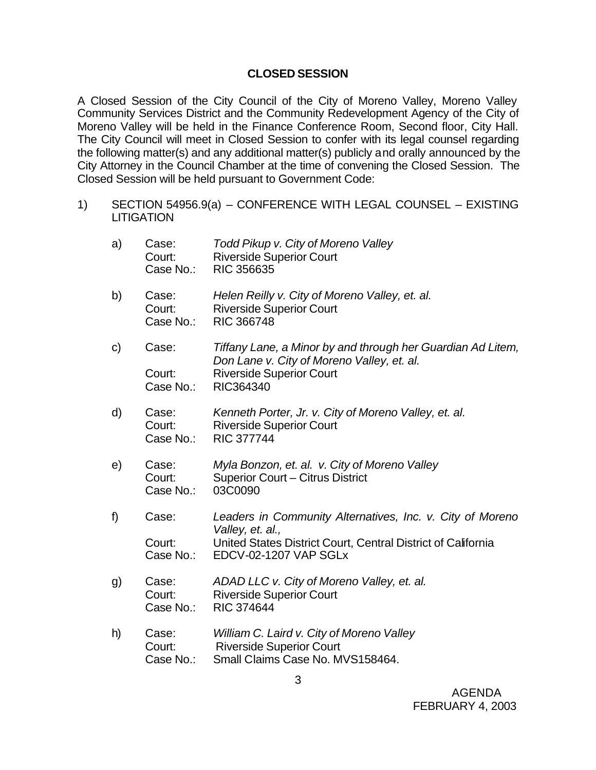### **CLOSED SESSION**

A Closed Session of the City Council of the City of Moreno Valley, Moreno Valley Community Services District and the Community Redevelopment Agency of the City of Moreno Valley will be held in the Finance Conference Room, Second floor, City Hall. The City Council will meet in Closed Session to confer with its legal counsel regarding the following matter(s) and any additional matter(s) publicly and orally announced by the City Attorney in the Council Chamber at the time of convening the Closed Session. The Closed Session will be held pursuant to Government Code:

1) SECTION 54956.9(a) – CONFERENCE WITH LEGAL COUNSEL – EXISTING LITIGATION

| a)           | Case:<br>Court:<br>Case No.: | Todd Pikup v. City of Moreno Valley<br><b>Riverside Superior Court</b><br><b>RIC 356635</b>                      |
|--------------|------------------------------|------------------------------------------------------------------------------------------------------------------|
| b)           | Case:<br>Court:<br>Case No.: | Helen Reilly v. City of Moreno Valley, et. al.<br><b>Riverside Superior Court</b><br><b>RIC 366748</b>           |
| $\mathsf{C}$ | Case:                        | Tiffany Lane, a Minor by and through her Guardian Ad Litem,<br>Don Lane v. City of Moreno Valley, et. al.        |
|              | Court:<br>Case No.:          | <b>Riverside Superior Court</b><br>RIC364340                                                                     |
| d)           | Case:<br>Court:<br>Case No.: | Kenneth Porter, Jr. v. City of Moreno Valley, et. al.<br><b>Riverside Superior Court</b><br><b>RIC 377744</b>    |
| e)           | Case:<br>Court:<br>Case No.: | Myla Bonzon, et. al. v. City of Moreno Valley<br>Superior Court - Citrus District<br>03C0090                     |
| f)           | Case:                        | Leaders in Community Alternatives, Inc. v. City of Moreno<br>Valley, et. al.,                                    |
|              | Court:<br>Case No.:          | United States District Court, Central District of California<br>EDCV-02-1207 VAP SGLx                            |
| g)           | Case:<br>Court:<br>Case No.: | ADAD LLC v. City of Moreno Valley, et. al.<br><b>Riverside Superior Court</b><br><b>RIC 374644</b>               |
| h)           | Case:<br>Court:<br>Case No.: | William C. Laird v. City of Moreno Valley<br><b>Riverside Superior Court</b><br>Small Claims Case No. MVS158464. |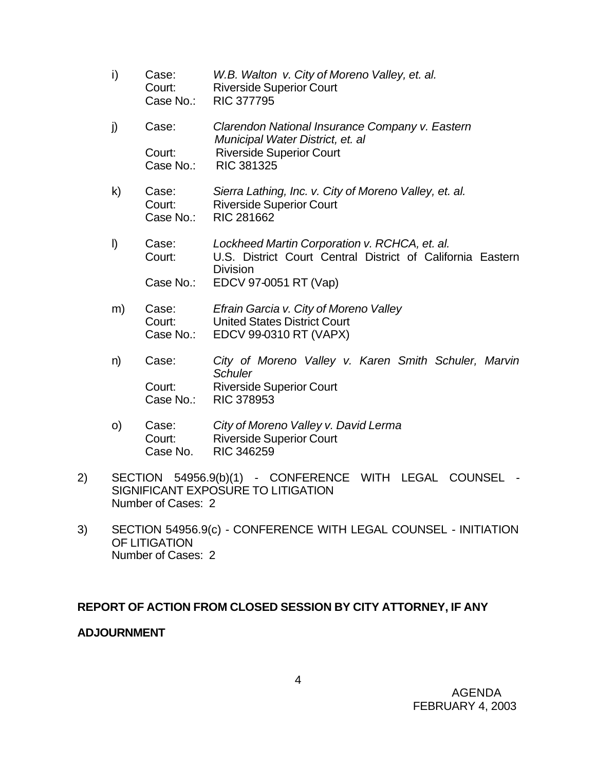- i) Case: *W.B. Walton v. City of Moreno Valley, et. al.* Court: Riverside Superior Court Case No.: RIC 377795 j) Case: *Clarendon National Insurance Company v. Eastern Municipal Water District, et. al* Court: Riverside Superior Court Case No.: RIC 381325 k) Case: *Sierra Lathing, Inc. v. City of Moreno Valley, et. al.* Court: Riverside Superior Court Case No.: RIC 281662
- l) Case: *Lockheed Martin Corporation v. RCHCA, et. al.* Court: U.S. District Court Central District of California Eastern **Division** Case No.: EDCV 97-0051 RT (Vap)
- m) Case: *Efrain Garcia v. City of Moreno Valley* Court: United States District Court Case No.: EDCV 99-0310 RT (VAPX)
- n) Case: *City of Moreno Valley v. Karen Smith Schuler, Marvin Schuler* Court: Riverside Superior Court Case No.: RIC 378953
- o) Case: *City of Moreno Valley v. David Lerma* Court: Riverside Superior Court Case No. RIC 346259
- 2) SECTION 54956.9(b)(1) CONFERENCE WITH LEGAL COUNSEL SIGNIFICANT EXPOSURE TO LITIGATION Number of Cases: 2
- 3) SECTION 54956.9(c) CONFERENCE WITH LEGAL COUNSEL INITIATION OF LITIGATION Number of Cases: 2

# **REPORT OF ACTION FROM CLOSED SESSION BY CITY ATTORNEY, IF ANY**

## **ADJOURNMENT**